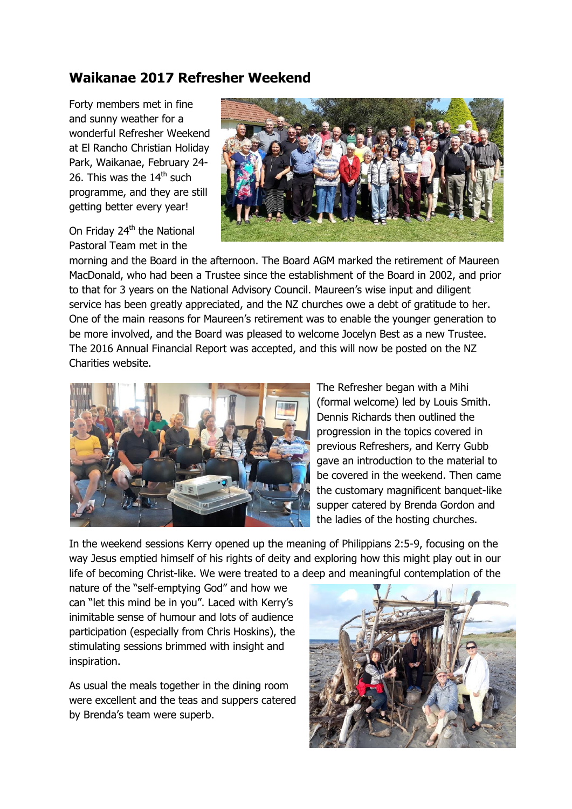## **Waikanae 2017 Refresher Weekend**

Forty members met in fine and sunny weather for a wonderful Refresher Weekend at El Rancho Christian Holiday Park, Waikanae, February 24- 26. This was the  $14<sup>th</sup>$  such programme, and they are still getting better every year!

On Friday 24<sup>th</sup> the National Pastoral Team met in the



morning and the Board in the afternoon. The Board AGM marked the retirement of Maureen MacDonald, who had been a Trustee since the establishment of the Board in 2002, and prior to that for 3 years on the National Advisory Council. Maureen's wise input and diligent service has been greatly appreciated, and the NZ churches owe a debt of gratitude to her. One of the main reasons for Maureen's retirement was to enable the younger generation to be more involved, and the Board was pleased to welcome Jocelyn Best as a new Trustee. The 2016 Annual Financial Report was accepted, and this will now be posted on the NZ Charities website.



The Refresher began with a Mihi (formal welcome) led by Louis Smith. Dennis Richards then outlined the progression in the topics covered in previous Refreshers, and Kerry Gubb gave an introduction to the material to be covered in the weekend. Then came the customary magnificent banquet-like supper catered by Brenda Gordon and the ladies of the hosting churches.

In the weekend sessions Kerry opened up the meaning of Philippians 2:5-9, focusing on the way Jesus emptied himself of his rights of deity and exploring how this might play out in our life of becoming Christ-like. We were treated to a deep and meaningful contemplation of the

nature of the "self-emptying God" and how we can "let this mind be in you". Laced with Kerry's inimitable sense of humour and lots of audience participation (especially from Chris Hoskins), the stimulating sessions brimmed with insight and inspiration.

As usual the meals together in the dining room were excellent and the teas and suppers catered by Brenda's team were superb.